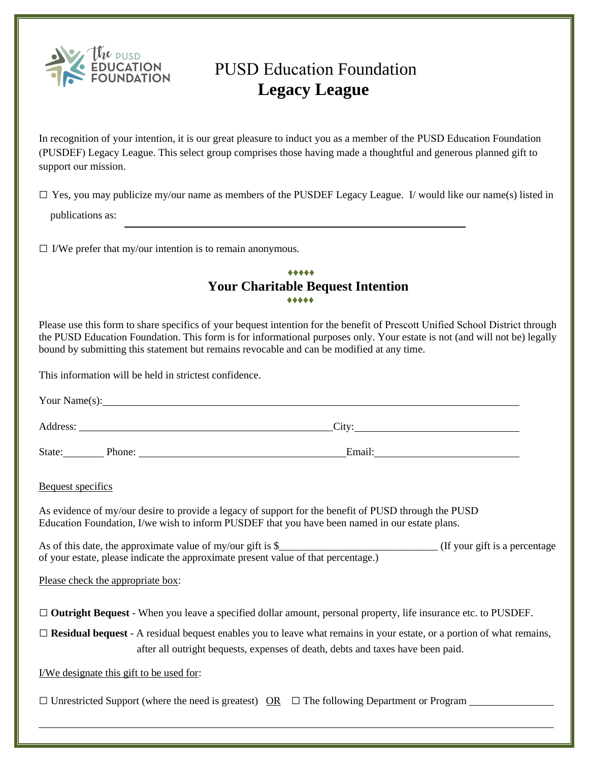

## PUSD Education Foundation **Legacy League**

In recognition of your intention, it is our great pleasure to induct you as a member of the PUSD Education Foundation (PUSDEF) Legacy League. This select group comprises those having made a thoughtful and generous planned gift to support our mission.

 $\Box$  Yes, you may publicize my/our name as members of the PUSDEF Legacy League. I/ would like our name(s) listed in publications as:

 $\Box$  I/We prefer that my/our intention is to remain anonymous.

## ♦♦♦♦♦ **Your Charitable Bequest Intention**  ♦♦♦♦♦

Please use this form to share specifics of your bequest intention for the benefit of Prescott Unified School District through the PUSD Education Foundation. This form is for informational purposes only. Your estate is not (and will not be) legally bound by submitting this statement but remains revocable and can be modified at any time.

This information will be held in strictest confidence.

Your Name(s): Solution 2012 12:30 and 2012 12:30 and 2012 12:30 and 2012 12:30 and 2012 12:30 and 2013 12:30 and 2013 12:30 and 2013 12:30 and 2013 12:30 and 2013 12:30 and 2013 12:30 and 2013 12:30 and 2013 12:30 and 2013 Address: \_\_\_\_\_\_\_\_\_\_\_\_\_\_\_\_\_\_\_\_\_\_\_\_\_\_\_\_\_\_\_\_\_\_\_\_\_\_\_\_\_\_\_\_\_\_\_\_City: State: Phone: Phone: Email: Email: Bequest specifics As evidence of my/our desire to provide a legacy of support for the benefit of PUSD through the PUSD Education Foundation, I/we wish to inform PUSDEF that you have been named in our estate plans. As of this date, the approximate value of my/our gift is  $\$\$  (If your gift is a percentage of your estate, please indicate the approximate present value of that percentage.) Please check the appropriate box: □ **Outright Bequest** - When you leave a specified dollar amount, personal property, life insurance etc. to PUSDEF.  $\Box$  **Residual bequest** - A residual bequest enables you to leave what remains in your estate, or a portion of what remains, after all outright bequests, expenses of death, debts and taxes have been paid. I/We designate this gift to be used for:  $\Box$  Unrestricted Support (where the need is greatest) OR  $\Box$  The following Department or Program